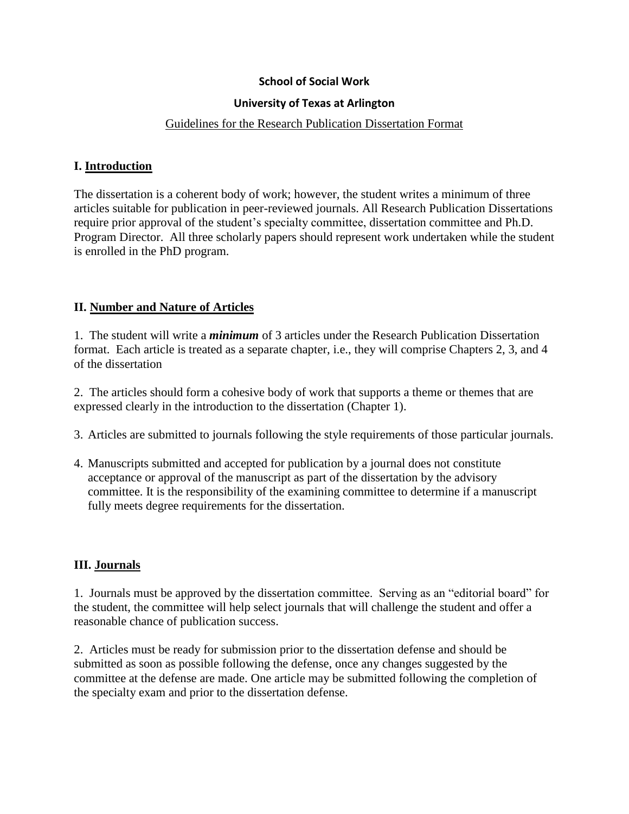### **School of Social Work**

### **University of Texas at Arlington**

#### Guidelines for the Research Publication Dissertation Format

### **I. Introduction**

The dissertation is a coherent body of work; however, the student writes a minimum of three articles suitable for publication in peer-reviewed journals. All Research Publication Dissertations require prior approval of the student's specialty committee, dissertation committee and Ph.D. Program Director. All three scholarly papers should represent work undertaken while the student is enrolled in the PhD program.

## **II. Number and Nature of Articles**

1. The student will write a *minimum* of 3 articles under the Research Publication Dissertation format. Each article is treated as a separate chapter, i.e., they will comprise Chapters 2, 3, and 4 of the dissertation

2. The articles should form a cohesive body of work that supports a theme or themes that are expressed clearly in the introduction to the dissertation (Chapter 1).

- 3. Articles are submitted to journals following the style requirements of those particular journals.
- 4. Manuscripts submitted and accepted for publication by a journal does not constitute acceptance or approval of the manuscript as part of the dissertation by the advisory committee. It is the responsibility of the examining committee to determine if a manuscript fully meets degree requirements for the dissertation.

### **III. Journals**

1. Journals must be approved by the dissertation committee. Serving as an "editorial board" for the student, the committee will help select journals that will challenge the student and offer a reasonable chance of publication success.

2. Articles must be ready for submission prior to the dissertation defense and should be submitted as soon as possible following the defense, once any changes suggested by the committee at the defense are made. One article may be submitted following the completion of the specialty exam and prior to the dissertation defense.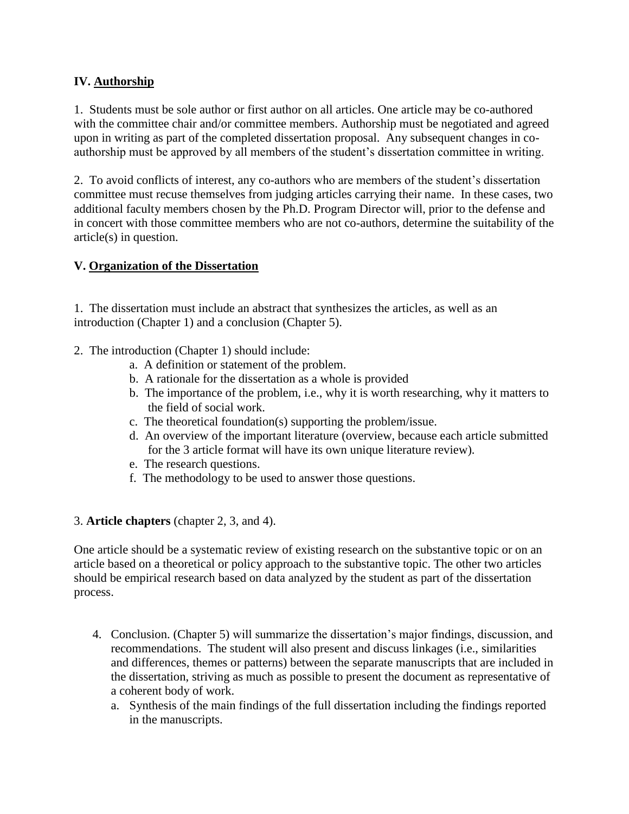# **IV. Authorship**

1. Students must be sole author or first author on all articles. One article may be co-authored with the committee chair and/or committee members. Authorship must be negotiated and agreed upon in writing as part of the completed dissertation proposal. Any subsequent changes in coauthorship must be approved by all members of the student's dissertation committee in writing.

2. To avoid conflicts of interest, any co-authors who are members of the student's dissertation committee must recuse themselves from judging articles carrying their name. In these cases, two additional faculty members chosen by the Ph.D. Program Director will, prior to the defense and in concert with those committee members who are not co-authors, determine the suitability of the article(s) in question.

# **V. Organization of the Dissertation**

1. The dissertation must include an abstract that synthesizes the articles, as well as an introduction (Chapter 1) and a conclusion (Chapter 5).

- 2. The introduction (Chapter 1) should include:
	- a. A definition or statement of the problem.
	- b. A rationale for the dissertation as a whole is provided
	- b. The importance of the problem, i.e., why it is worth researching, why it matters to the field of social work.
	- c. The theoretical foundation(s) supporting the problem/issue.
	- d. An overview of the important literature (overview, because each article submitted for the 3 article format will have its own unique literature review).
	- e. The research questions.
	- f. The methodology to be used to answer those questions.

## 3. **Article chapters** (chapter 2, 3, and 4).

One article should be a systematic review of existing research on the substantive topic or on an article based on a theoretical or policy approach to the substantive topic. The other two articles should be empirical research based on data analyzed by the student as part of the dissertation process.

- 4. Conclusion. (Chapter 5) will summarize the dissertation's major findings, discussion, and recommendations. The student will also present and discuss linkages (i.e., similarities and differences, themes or patterns) between the separate manuscripts that are included in the dissertation, striving as much as possible to present the document as representative of a coherent body of work.
	- a. Synthesis of the main findings of the full dissertation including the findings reported in the manuscripts.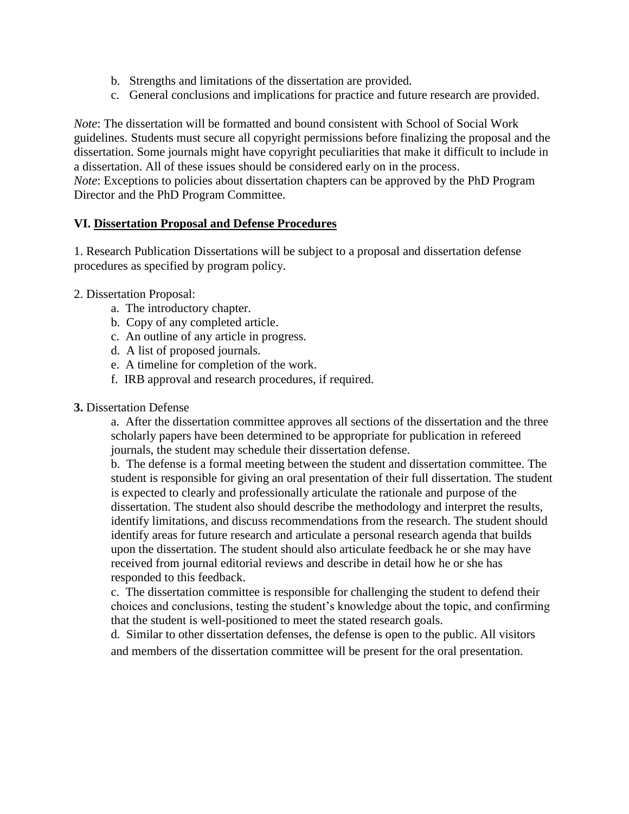- b. Strengths and limitations of the dissertation are provided.
- c. General conclusions and implications for practice and future research are provided.

*Note*: The dissertation will be formatted and bound consistent with School of Social Work guidelines. Students must secure all copyright permissions before finalizing the proposal and the dissertation. Some journals might have copyright peculiarities that make it difficult to include in a dissertation. All of these issues should be considered early on in the process. *Note*: Exceptions to policies about dissertation chapters can be approved by the PhD Program Director and the PhD Program Committee.

### **VI. Dissertation Proposal and Defense Procedures**

1. Research Publication Dissertations will be subject to a proposal and dissertation defense procedures as specified by program policy.

### 2. Dissertation Proposal:

- a. The introductory chapter.
- b. Copy of any completed article.
- c. An outline of any article in progress.
- d. A list of proposed journals.
- e. A timeline for completion of the work.
- f. IRB approval and research procedures, if required.

### **3.** Dissertation Defense

a. After the dissertation committee approves all sections of the dissertation and the three scholarly papers have been determined to be appropriate for publication in refereed journals, the student may schedule their dissertation defense.

b. The defense is a formal meeting between the student and dissertation committee. The student is responsible for giving an oral presentation of their full dissertation. The student is expected to clearly and professionally articulate the rationale and purpose of the dissertation. The student also should describe the methodology and interpret the results, identify limitations, and discuss recommendations from the research. The student should identify areas for future research and articulate a personal research agenda that builds upon the dissertation. The student should also articulate feedback he or she may have received from journal editorial reviews and describe in detail how he or she has responded to this feedback.

c. The dissertation committee is responsible for challenging the student to defend their choices and conclusions, testing the student's knowledge about the topic, and confirming that the student is well-positioned to meet the stated research goals.

d. Similar to other dissertation defenses, the defense is open to the public. All visitors and members of the dissertation committee will be present for the oral presentation.